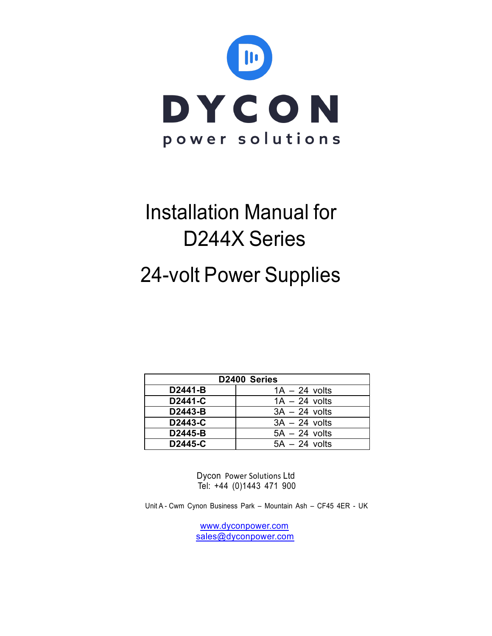

# Installation Manual for D244X Series

## 24-volt Power Supplies

| D2400 Series |                 |  |
|--------------|-----------------|--|
| D2441-B      | $1A - 24$ volts |  |
| D2441-C      | $1A - 24$ volts |  |
| D2443-B      | $3A - 24$ volts |  |
| D2443-C      | $3A - 24$ volts |  |
| D2445-B      | $5A - 24$ volts |  |
| D2445-C      | $5A - 24$ volts |  |

Dycon Power Solutions Ltd Tel: +44 (0)1443 471 900

Unit A - Cwm Cynon Business Park – Mountain Ash – CF45 4ER - UK

www.dyconpower.com sales@dyconpower.com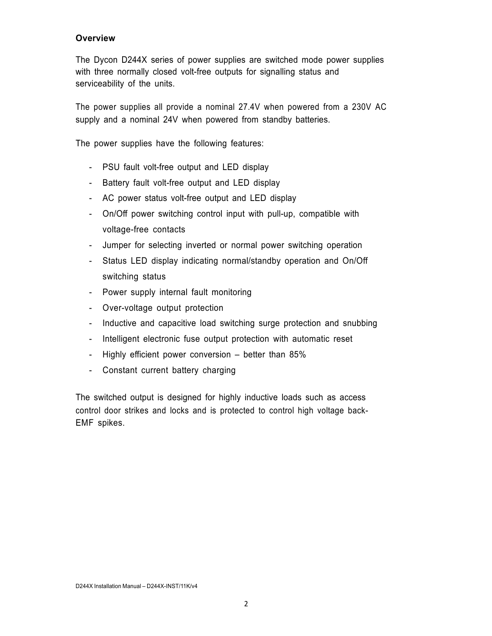#### **Overview**

The Dycon D244X series of power supplies are switched mode power supplies with three normally closed volt-free outputs for signalling status and serviceability of the units.

The power supplies all provide a nominal 27.4V when powered from a 230V AC supply and a nominal 24V when powered from standby batteries.

The power supplies have the following features:

- PSU fault volt-free output and LED display
- Battery fault volt-free output and LED display
- AC power status volt-free output and LED display
- On/Off power switching control input with pull-up, compatible with voltage-free contacts
- Jumper for selecting inverted or normal power switching operation
- Status LED display indicating normal/standby operation and On/Off switching status
- Power supply internal fault monitoring
- Over-voltage output protection
- Inductive and capacitive load switching surge protection and snubbing
- Intelligent electronic fuse output protection with automatic reset
- Highly efficient power conversion better than 85%
- Constant current battery charging

The switched output is designed for highly inductive loads such as access control door strikes and locks and is protected to control high voltage back-EMF spikes.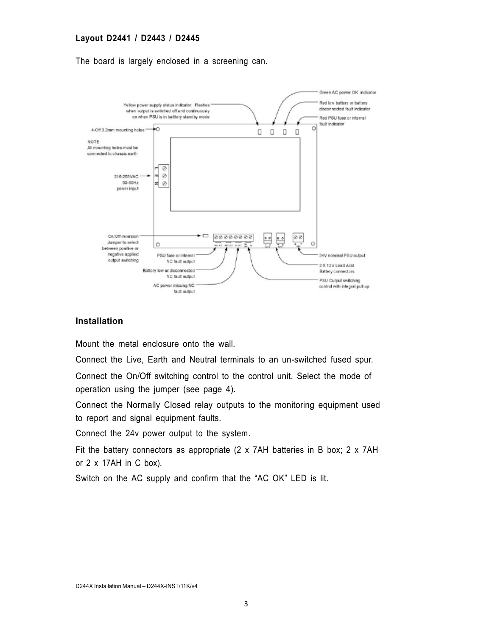#### **Layout D2441 / D2443 / D2445**

The board is largely enclosed in a screening can.



#### **Installation**

Mount the metal enclosure onto the wall.

Connect the Live, Earth and Neutral terminals to an un-switched fused spur.

Connect the On/Off switching control to the control unit. Select the mode of operation using the jumper (see page 4).

Connect the Normally Closed relay outputs to the monitoring equipment used to report and signal equipment faults.

Connect the 24v power output to the system.

Fit the battery connectors as appropriate (2 x 7AH batteries in B box; 2 x 7AH or 2 x 17AH in C box).

Switch on the AC supply and confirm that the "AC OK" LED is lit.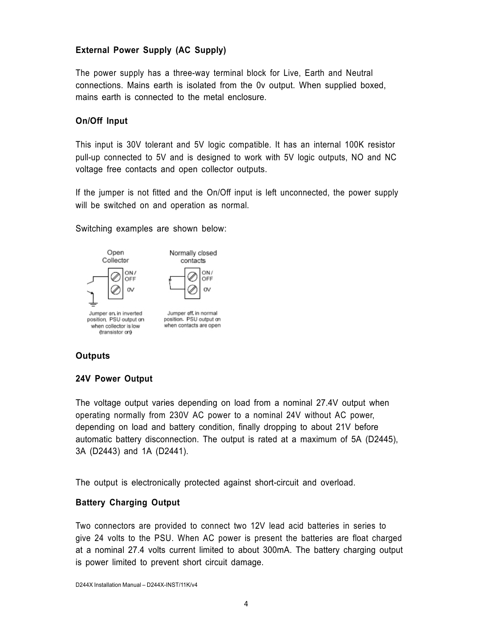#### **External Power Supply (AC Supply)**

The power supply has a three-way terminal block for Live, Earth and Neutral connections. Mains earth is isolated from the 0v output. When supplied boxed, mains earth is connected to the metal enclosure.

#### **On/Off Input**

This input is 30V tolerant and 5V logic compatible. It has an internal 100K resistor pull-up connected to 5V and is designed to work with 5V logic outputs, NO and NC voltage free contacts and open collector outputs.

If the jumper is not fitted and the On/Off input is left unconnected, the power supply will be switched on and operation as normal.

 $OMI$ 

OFF

**OV** 

Switching examples are shown below:



## **Outputs**

#### **24V Power Output**

(transistor on)

The voltage output varies depending on load from a nominal 27.4V output when operating normally from 230V AC power to a nominal 24V without AC power, depending on load and battery condition, finally dropping to about 21V before automatic battery disconnection. The output is rated at a maximum of 5A (D2445), 3A (D2443) and 1A (D2441).

The output is electronically protected against short-circuit and overload.

#### **Battery Charging Output**

Two connectors are provided to connect two 12V lead acid batteries in series to give 24 volts to the PSU. When AC power is present the batteries are float charged at a nominal 27.4 volts current limited to about 300mA. The battery charging output is power limited to prevent short circuit damage.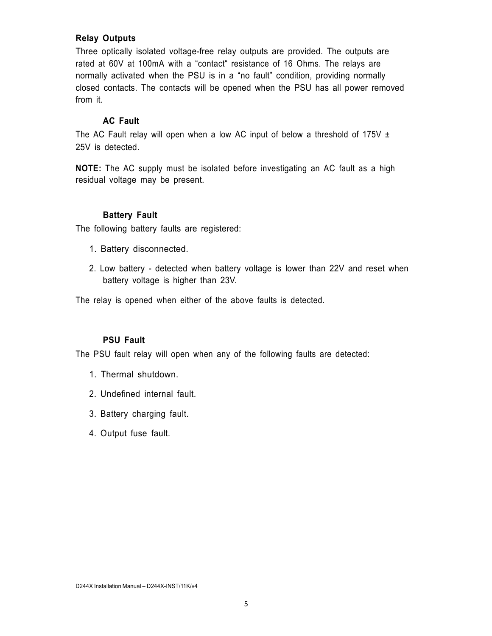#### **Relay Outputs**

Three optically isolated voltage-free relay outputs are provided. The outputs are rated at 60V at 100mA with a "contact" resistance of 16 Ohms. The relays are normally activated when the PSU is in a "no fault" condition, providing normally closed contacts. The contacts will be opened when the PSU has all power removed from it.

#### **AC Fault**

The AC Fault relay will open when a low AC input of below a threshold of 175V  $\pm$ 25V is detected.

**NOTE:** The AC supply must be isolated before investigating an AC fault as a high residual voltage may be present.

#### **Battery Fault**

The following battery faults are registered:

- 1. Battery disconnected.
- 2. Low battery detected when battery voltage is lower than 22V and reset when battery voltage is higher than 23V.

The relay is opened when either of the above faults is detected.

#### **PSU Fault**

The PSU fault relay will open when any of the following faults are detected:

- 1. Thermal shutdown.
- 2. Undefined internal fault.
- 3. Battery charging fault.
- 4. Output fuse fault.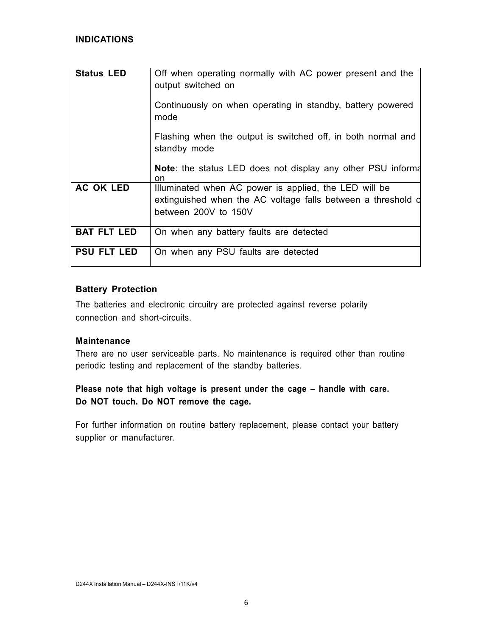| <b>Status LED</b>  | Off when operating normally with AC power present and the<br>output switched on                                                               |
|--------------------|-----------------------------------------------------------------------------------------------------------------------------------------------|
|                    | Continuously on when operating in standby, battery powered<br>mode                                                                            |
|                    | Flashing when the output is switched off, in both normal and<br>standby mode                                                                  |
|                    | <b>Note:</b> the status LED does not display any other PSU informa<br><sub>on</sub>                                                           |
| <b>AC OK LED</b>   | Illuminated when AC power is applied, the LED will be<br>extinguished when the AC voltage falls between a threshold d<br>between 200V to 150V |
| <b>BAT FLT LED</b> | On when any battery faults are detected                                                                                                       |
| <b>PSU FLT LED</b> | On when any PSU faults are detected                                                                                                           |

#### **Battery Protection**

The batteries and electronic circuitry are protected against reverse polarity connection and short-circuits.

## **Maintenance**

There are no user serviceable parts. No maintenance is required other than routine periodic testing and replacement of the standby batteries.

## **Please note that high voltage is present under the cage – handle with care. Do NOT touch. Do NOT remove the cage.**

For further information on routine battery replacement, please contact your battery supplier or manufacturer.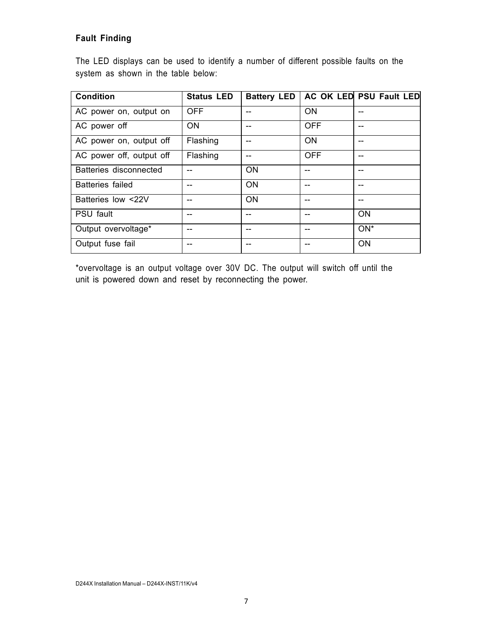## **Fault Finding**

The LED displays can be used to identify a number of different possible faults on the system as shown in the table below:

| <b>Condition</b>         | <b>Status LED</b> | <b>Battery LED</b> |            | <b>AC OK LED PSU Fault LED</b> |
|--------------------------|-------------------|--------------------|------------|--------------------------------|
| AC power on, output on   | <b>OFF</b>        |                    | <b>ON</b>  |                                |
| AC power off             | <b>ON</b>         |                    | <b>OFF</b> |                                |
| AC power on, output off  | Flashing          |                    | <b>ON</b>  |                                |
| AC power off, output off | Flashing          |                    | <b>OFF</b> |                                |
| Batteries disconnected   |                   | <b>ON</b>          |            |                                |
| <b>Batteries failed</b>  | --                | <b>ON</b>          | --         |                                |
| Batteries low <22V       | --                | <b>ON</b>          | --         |                                |
| <b>PSU fault</b>         |                   |                    | --         | <b>ON</b>                      |
| Output overvoltage*      |                   |                    | --         | $ON^*$                         |
| Output fuse fail         |                   |                    | --         | <b>ON</b>                      |

\*overvoltage is an output voltage over 30V DC. The output will switch off until the unit is powered down and reset by reconnecting the power.